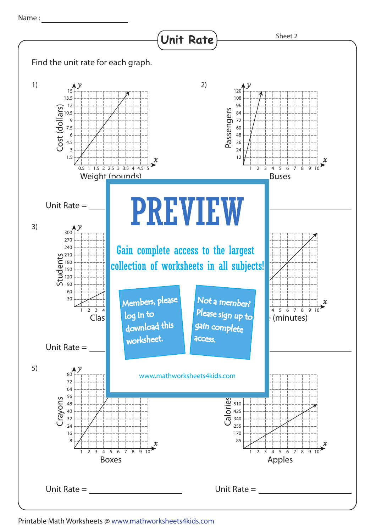